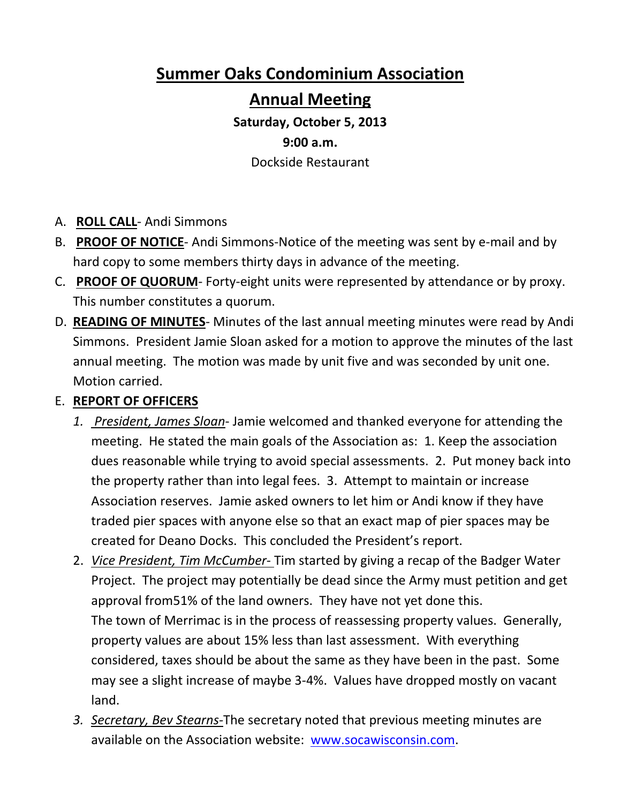## **Summer Oaks Condominium Association**

### **Annual Meeting**

# **Saturday, October 5, 2013 9:00 a.m.**

Dockside Restaurant

- A. **ROLL CALL**‐ Andi Simmons
- B. **PROOF OF NOTICE**‐ Andi Simmons‐Notice of the meeting was sent by e‐mail and by hard copy to some members thirty days in advance of the meeting.
- C. **PROOF OF QUORUM**‐ Forty‐eight units were represented by attendance or by proxy. This number constitutes a quorum.
- D. **READING OF MINUTES**‐ Minutes of the last annual meeting minutes were read by Andi Simmons. President Jamie Sloan asked for a motion to approve the minutes of the last annual meeting. The motion was made by unit five and was seconded by unit one. Motion carried.
- E. **REPORT OF OFFICERS**
	- *1. President, James Sloan*‐ Jamie welcomed and thanked everyone for attending the meeting. He stated the main goals of the Association as: 1. Keep the association dues reasonable while trying to avoid special assessments. 2. Put money back into the property rather than into legal fees. 3. Attempt to maintain or increase Association reserves. Jamie asked owners to let him or Andi know if they have traded pier spaces with anyone else so that an exact map of pier spaces may be created for Deano Docks. This concluded the President's report.
	- 2. *Vice President, Tim McCumber‐* Tim started by giving a recap of the Badger Water Project. The project may potentially be dead since the Army must petition and get approval from51% of the land owners. They have not yet done this. The town of Merrimac is in the process of reassessing property values. Generally, property values are about 15% less than last assessment. With everything considered, taxes should be about the same as they have been in the past. Some may see a slight increase of maybe 3‐4%. Values have dropped mostly on vacant land.
	- *3. Secretary, Bev Stearns‐*The secretary noted that previous meeting minutes are available on the Association website: www.socawisconsin.com.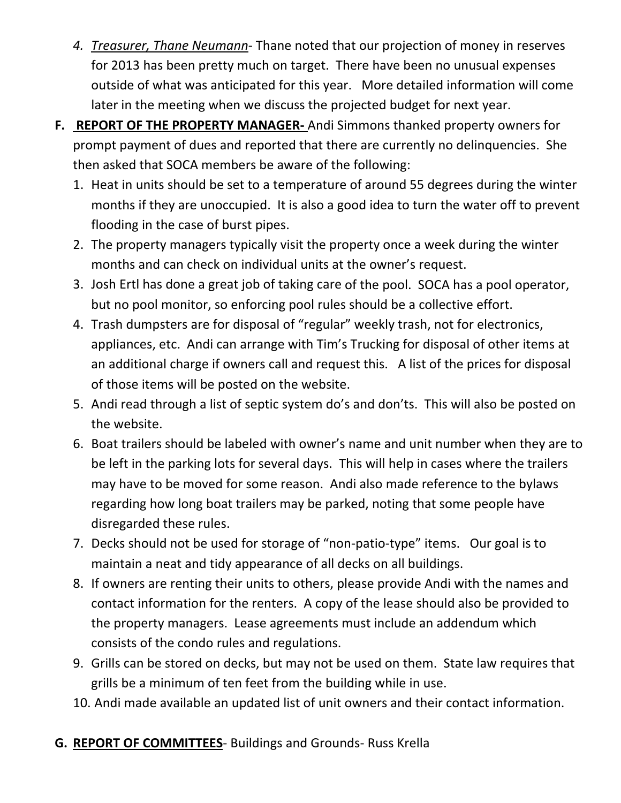- *4. Treasurer, Thane Neumann*‐ Thane noted that our projection of money in reserves for 2013 has been pretty much on target. There have been no unusual expenses outside of what was anticipated for this year. More detailed information will come later in the meeting when we discuss the projected budget for next year.
- **F. REPORT OF THE PROPERTY MANAGER‐** Andi Simmons thanked property owners for prompt payment of dues and reported that there are currently no delinquencies. She then asked that SOCA members be aware of the following:
	- 1. Heat in units should be set to a temperature of around 55 degrees during the winter months if they are unoccupied. It is also a good idea to turn the water off to prevent flooding in the case of burst pipes.
	- 2. The property managers typically visit the property once a week during the winter months and can check on individual units at the owner's request.
	- 3. Josh Ertl has done a great job of taking care of the pool. SOCA has a pool operator, but no pool monitor, so enforcing pool rules should be a collective effort.
	- 4. Trash dumpsters are for disposal of "regular" weekly trash, not for electronics, appliances, etc. Andi can arrange with Tim's Trucking for disposal of other items at an additional charge if owners call and request this. A list of the prices for disposal of those items will be posted on the website.
	- 5. Andi read through a list of septic system do's and don'ts. This will also be posted on the website.
	- 6. Boat trailers should be labeled with owner's name and unit number when they are to be left in the parking lots for several days. This will help in cases where the trailers may have to be moved for some reason. Andi also made reference to the bylaws regarding how long boat trailers may be parked, noting that some people have disregarded these rules.
	- 7. Decks should not be used for storage of "non-patio-type" items. Our goal is to maintain a neat and tidy appearance of all decks on all buildings.
	- 8. If owners are renting their units to others, please provide Andi with the names and contact information for the renters. A copy of the lease should also be provided to the property managers. Lease agreements must include an addendum which consists of the condo rules and regulations.
	- 9. Grills can be stored on decks, but may not be used on them. State law requires that grills be a minimum of ten feet from the building while in use.
	- 10. Andi made available an updated list of unit owners and their contact information.
- **G. REPORT OF COMMITTEES**‐ Buildings and Grounds‐ Russ Krella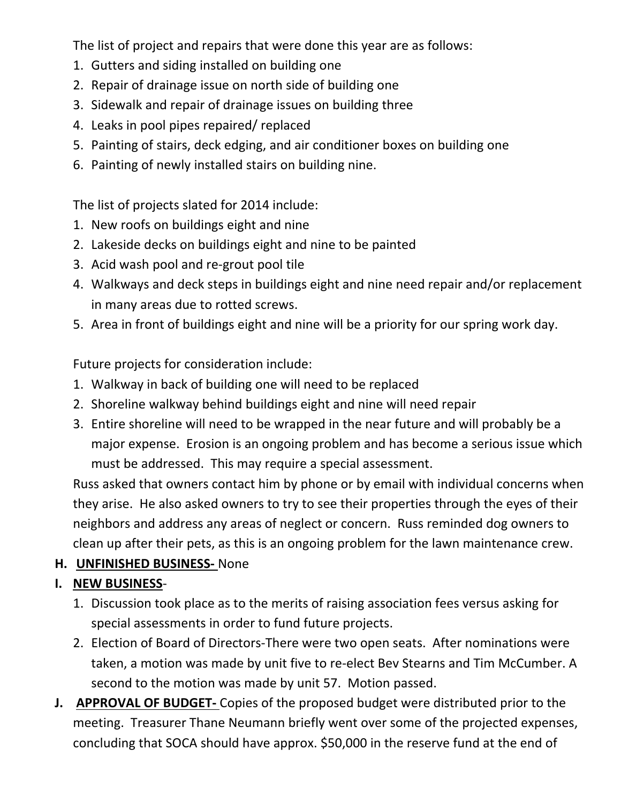The list of project and repairs that were done this year are as follows:

- 1. Gutters and siding installed on building one
- 2. Repair of drainage issue on north side of building one
- 3. Sidewalk and repair of drainage issues on building three
- 4. Leaks in pool pipes repaired/ replaced
- 5. Painting of stairs, deck edging, and air conditioner boxes on building one
- 6. Painting of newly installed stairs on building nine.

The list of projects slated for 2014 include:

- 1. New roofs on buildings eight and nine
- 2. Lakeside decks on buildings eight and nine to be painted
- 3. Acid wash pool and re‐grout pool tile
- 4. Walkways and deck steps in buildings eight and nine need repair and/or replacement in many areas due to rotted screws.
- 5. Area in front of buildings eight and nine will be a priority for our spring work day.

Future projects for consideration include:

- 1. Walkway in back of building one will need to be replaced
- 2. Shoreline walkway behind buildings eight and nine will need repair
- 3. Entire shoreline will need to be wrapped in the near future and will probably be a major expense. Erosion is an ongoing problem and has become a serious issue which must be addressed. This may require a special assessment.

Russ asked that owners contact him by phone or by email with individual concerns when they arise. He also asked owners to try to see their properties through the eyes of their neighbors and address any areas of neglect or concern. Russ reminded dog owners to clean up after their pets, as this is an ongoing problem for the lawn maintenance crew.

### **H. UNFINISHED BUSINESS‐** None

### **I. NEW BUSINESS**‐

- 1. Discussion took place as to the merits of raising association fees versus asking for special assessments in order to fund future projects.
- 2. Election of Board of Directors‐There were two open seats. After nominations were taken, a motion was made by unit five to re‐elect Bev Stearns and Tim McCumber. A second to the motion was made by unit 57. Motion passed.
- **J. APPROVAL OF BUDGET‐** Copies of the proposed budget were distributed prior to the meeting. Treasurer Thane Neumann briefly went over some of the projected expenses, concluding that SOCA should have approx. \$50,000 in the reserve fund at the end of